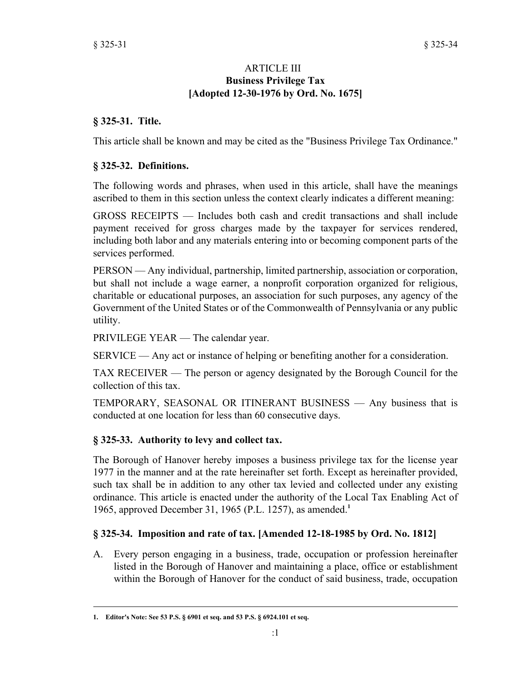#### ARTICLE III **Business Privilege Tax [Adopted 12-30-1976 by Ord. No. 1675]**

#### **§ 325-31. Title.**

This article shall be known and may be cited as the "Business Privilege Tax Ordinance."

#### **§ 325-32. Definitions.**

The following words and phrases, when used in this article, shall have the meanings ascribed to them in this section unless the context clearly indicates a different meaning:

GROSS RECEIPTS — Includes both cash and credit transactions and shall include payment received for gross charges made by the taxpayer for services rendered, including both labor and any materials entering into or becoming component parts of the services performed.

PERSON — Any individual, partnership, limited partnership, association or corporation, but shall not include a wage earner, a nonprofit corporation organized for religious, charitable or educational purposes, an association for such purposes, any agency of the Government of the United States or of the Commonwealth of Pennsylvania or any public utility.

PRIVILEGE YEAR — The calendar year.

SERVICE — Any act or instance of helping or benefiting another for a consideration.

TAX RECEIVER — The person or agency designated by the Borough Council for the collection of this tax.

TEMPORARY, SEASONAL OR ITINERANT BUSINESS — Any business that is conducted at one location for less than 60 consecutive days.

### **§ 325-33. Authority to levy and collect tax.**

The Borough of Hanover hereby imposes a business privilege tax for the license year 1977 in the manner and at the rate hereinafter set forth. Except as hereinafter provided, such tax shall be in addition to any other tax levied and collected under any existing ordinance. This article is enacted under the authority of the Local Tax Enabling Act of 1965, approved December 31, 1965 (P.L. 1257), as amended.**<sup>1</sup>**

### **§ 325-34. Imposition and rate of tax. [Amended 12-18-1985 by Ord. No. 1812]**

Every person engaging in a business, trade, occupation or profession hereinafter A. listed in the Borough of Hanover and maintaining a place, office or establishment within the Borough of Hanover for the conduct of said business, trade, occupation

**<sup>1.</sup> Editor's Note: See 53 P.S. § 6901 et seq. and 53 P.S. § 6924.101 et seq.**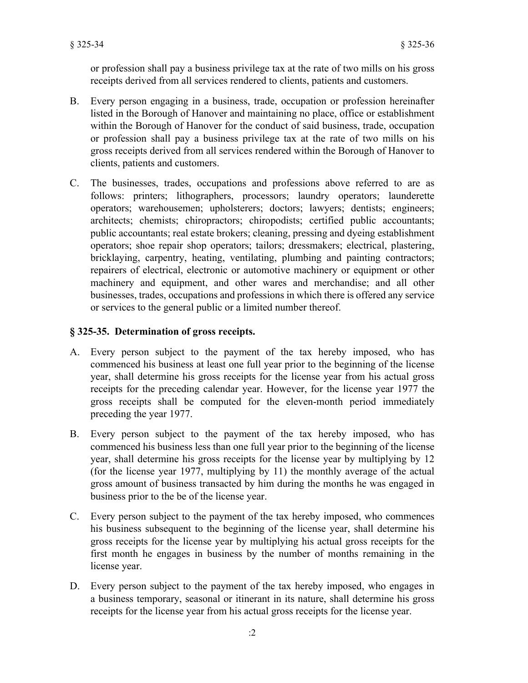or profession shall pay a business privilege tax at the rate of two mills on his gross receipts derived from all services rendered to clients, patients and customers.

- Every person engaging in a business, trade, occupation or profession hereinafter listed in the Borough of Hanover and maintaining no place, office or establishment within the Borough of Hanover for the conduct of said business, trade, occupation or profession shall pay a business privilege tax at the rate of two mills on his gross receipts derived from all services rendered within the Borough of Hanover to clients, patients and customers. B.
- The businesses, trades, occupations and professions above referred to are as follows: printers; lithographers, processors; laundry operators; launderette operators; warehousemen; upholsterers; doctors; lawyers; dentists; engineers; architects; chemists; chiropractors; chiropodists; certified public accountants; public accountants; real estate brokers; cleaning, pressing and dyeing establishment operators; shoe repair shop operators; tailors; dressmakers; electrical, plastering, bricklaying, carpentry, heating, ventilating, plumbing and painting contractors; repairers of electrical, electronic or automotive machinery or equipment or other machinery and equipment, and other wares and merchandise; and all other businesses, trades, occupations and professions in which there is offered any service or services to the general public or a limited number thereof. C.

# **§ 325-35. Determination of gross receipts.**

- Every person subject to the payment of the tax hereby imposed, who has A. commenced his business at least one full year prior to the beginning of the license year, shall determine his gross receipts for the license year from his actual gross receipts for the preceding calendar year. However, for the license year 1977 the gross receipts shall be computed for the eleven-month period immediately preceding the year 1977.
- Every person subject to the payment of the tax hereby imposed, who has commenced his business less than one full year prior to the beginning of the license year, shall determine his gross receipts for the license year by multiplying by 12 (for the license year 1977, multiplying by 11) the monthly average of the actual gross amount of business transacted by him during the months he was engaged in business prior to the be of the license year. B.
- Every person subject to the payment of the tax hereby imposed, who commences his business subsequent to the beginning of the license year, shall determine his gross receipts for the license year by multiplying his actual gross receipts for the first month he engages in business by the number of months remaining in the license year. C.
- Every person subject to the payment of the tax hereby imposed, who engages in D. a business temporary, seasonal or itinerant in its nature, shall determine his gross receipts for the license year from his actual gross receipts for the license year.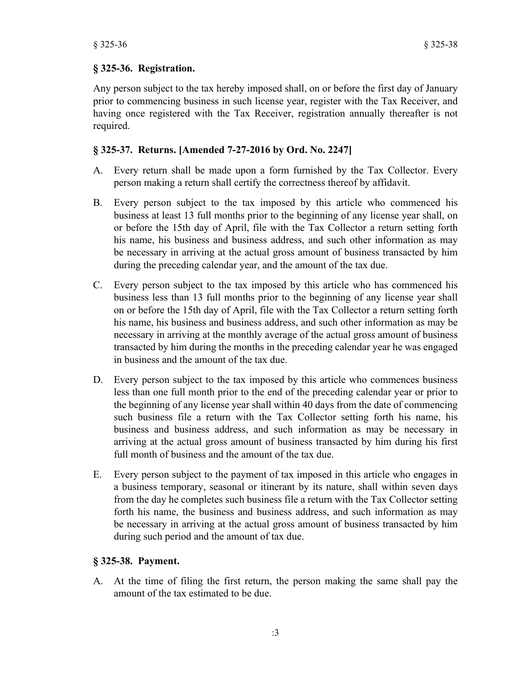#### **§ 325-36. Registration.**

Any person subject to the tax hereby imposed shall, on or before the first day of January prior to commencing business in such license year, register with the Tax Receiver, and having once registered with the Tax Receiver, registration annually thereafter is not required.

#### **§ 325-37. Returns. [Amended 7-27-2016 by Ord. No. 2247]**

- Every return shall be made upon a form furnished by the Tax Collector. Every A. person making a return shall certify the correctness thereof by affidavit.
- Every person subject to the tax imposed by this article who commenced his B. business at least 13 full months prior to the beginning of any license year shall, on or before the 15th day of April, file with the Tax Collector a return setting forth his name, his business and business address, and such other information as may be necessary in arriving at the actual gross amount of business transacted by him during the preceding calendar year, and the amount of the tax due.
- Every person subject to the tax imposed by this article who has commenced his C. business less than 13 full months prior to the beginning of any license year shall on or before the 15th day of April, file with the Tax Collector a return setting forth his name, his business and business address, and such other information as may be necessary in arriving at the monthly average of the actual gross amount of business transacted by him during the months in the preceding calendar year he was engaged in business and the amount of the tax due.
- Every person subject to the tax imposed by this article who commences business D. less than one full month prior to the end of the preceding calendar year or prior to the beginning of any license year shall within 40 days from the date of commencing such business file a return with the Tax Collector setting forth his name, his business and business address, and such information as may be necessary in arriving at the actual gross amount of business transacted by him during his first full month of business and the amount of the tax due.
- Every person subject to the payment of tax imposed in this article who engages in a business temporary, seasonal or itinerant by its nature, shall within seven days from the day he completes such business file a return with the Tax Collector setting forth his name, the business and business address, and such information as may be necessary in arriving at the actual gross amount of business transacted by him during such period and the amount of tax due. E.

### **§ 325-38. Payment.**

At the time of filing the first return, the person making the same shall pay the A. amount of the tax estimated to be due.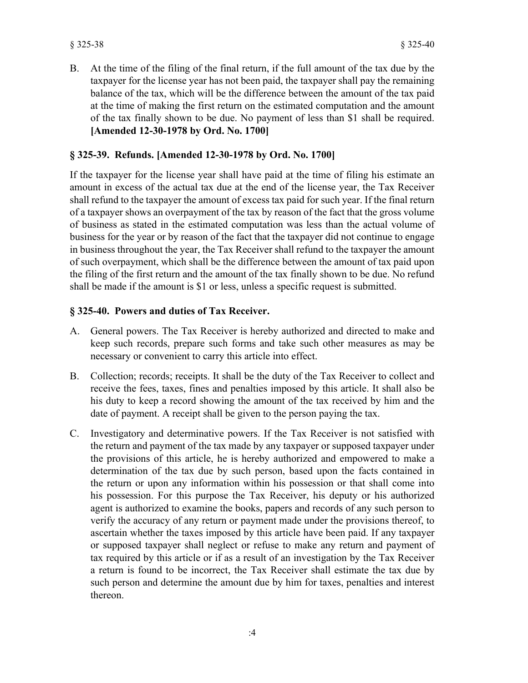At the time of the filing of the final return, if the full amount of the tax due by the taxpayer for the license year has not been paid, the taxpayer shall pay the remaining balance of the tax, which will be the difference between the amount of the tax paid at the time of making the first return on the estimated computation and the amount of the tax finally shown to be due. No payment of less than \$1 shall be required. **[Amended 12-30-1978 by Ord. No. 1700]** B.

## **§ 325-39. Refunds. [Amended 12-30-1978 by Ord. No. 1700]**

If the taxpayer for the license year shall have paid at the time of filing his estimate an amount in excess of the actual tax due at the end of the license year, the Tax Receiver shall refund to the taxpayer the amount of excess tax paid for such year. If the final return of a taxpayer shows an overpayment of the tax by reason of the fact that the gross volume of business as stated in the estimated computation was less than the actual volume of business for the year or by reason of the fact that the taxpayer did not continue to engage in business throughout the year, the Tax Receiver shall refund to the taxpayer the amount of such overpayment, which shall be the difference between the amount of tax paid upon the filing of the first return and the amount of the tax finally shown to be due. No refund shall be made if the amount is \$1 or less, unless a specific request is submitted.

# **§ 325-40. Powers and duties of Tax Receiver.**

- A. General powers. The Tax Receiver is hereby authorized and directed to make and keep such records, prepare such forms and take such other measures as may be necessary or convenient to carry this article into effect.
- Collection; records; receipts. It shall be the duty of the Tax Receiver to collect and receive the fees, taxes, fines and penalties imposed by this article. It shall also be his duty to keep a record showing the amount of the tax received by him and the date of payment. A receipt shall be given to the person paying the tax. B.
- Investigatory and determinative powers. If the Tax Receiver is not satisfied with the return and payment of the tax made by any taxpayer or supposed taxpayer under the provisions of this article, he is hereby authorized and empowered to make a determination of the tax due by such person, based upon the facts contained in the return or upon any information within his possession or that shall come into his possession. For this purpose the Tax Receiver, his deputy or his authorized agent is authorized to examine the books, papers and records of any such person to verify the accuracy of any return or payment made under the provisions thereof, to ascertain whether the taxes imposed by this article have been paid. If any taxpayer or supposed taxpayer shall neglect or refuse to make any return and payment of tax required by this article or if as a result of an investigation by the Tax Receiver a return is found to be incorrect, the Tax Receiver shall estimate the tax due by such person and determine the amount due by him for taxes, penalties and interest thereon. C.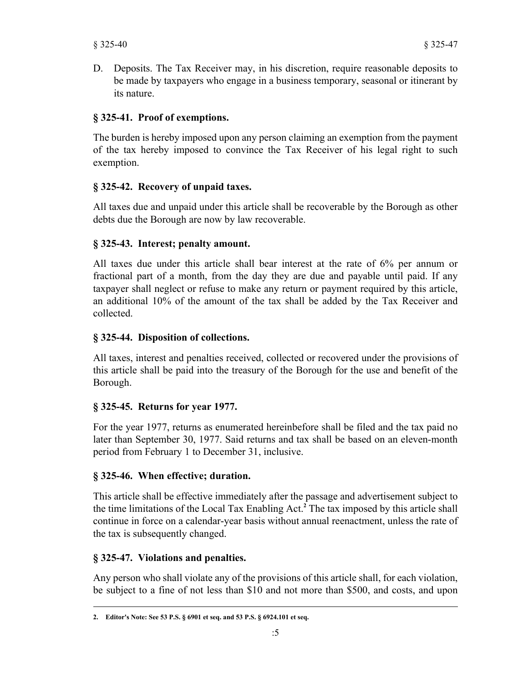D. Deposits. The Tax Receiver may, in his discretion, require reasonable deposits to be made by taxpayers who engage in a business temporary, seasonal or itinerant by its nature.

# **§ 325-41. Proof of exemptions.**

The burden is hereby imposed upon any person claiming an exemption from the payment of the tax hereby imposed to convince the Tax Receiver of his legal right to such exemption.

# **§ 325-42. Recovery of unpaid taxes.**

All taxes due and unpaid under this article shall be recoverable by the Borough as other debts due the Borough are now by law recoverable.

### **§ 325-43. Interest; penalty amount.**

All taxes due under this article shall bear interest at the rate of 6% per annum or fractional part of a month, from the day they are due and payable until paid. If any taxpayer shall neglect or refuse to make any return or payment required by this article, an additional 10% of the amount of the tax shall be added by the Tax Receiver and collected.

# **§ 325-44. Disposition of collections.**

All taxes, interest and penalties received, collected or recovered under the provisions of this article shall be paid into the treasury of the Borough for the use and benefit of the Borough.

# **§ 325-45. Returns for year 1977.**

For the year 1977, returns as enumerated hereinbefore shall be filed and the tax paid no later than September 30, 1977. Said returns and tax shall be based on an eleven-month period from February 1 to December 31, inclusive.

### **§ 325-46. When effective; duration.**

This article shall be effective immediately after the passage and advertisement subject to the time limitations of the Local Tax Enabling Act.**<sup>2</sup>** The tax imposed by this article shall continue in force on a calendar-year basis without annual reenactment, unless the rate of the tax is subsequently changed.

### **§ 325-47. Violations and penalties.**

Any person who shall violate any of the provisions of this article shall, for each violation, be subject to a fine of not less than \$10 and not more than \$500, and costs, and upon

**<sup>2.</sup> Editor's Note: See 53 P.S. § 6901 et seq. and 53 P.S. § 6924.101 et seq.**